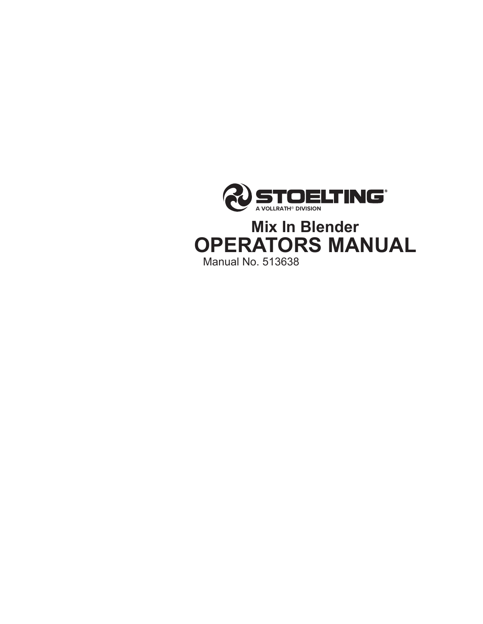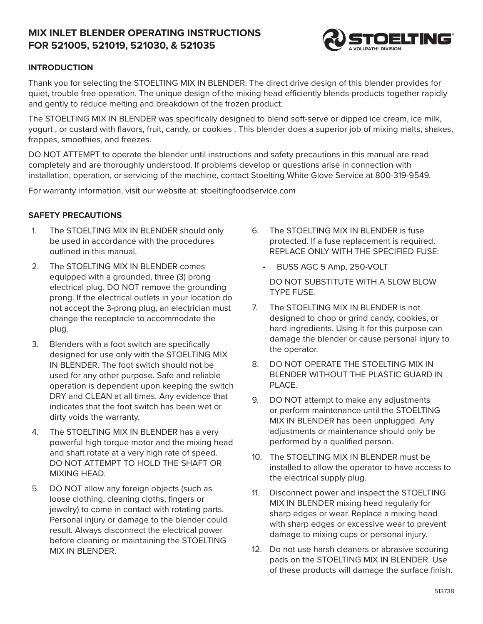## **MIX INLET BLENDER OPERATING INSTRUCTIONS FOR 521005, 521019, 521030, & 521035**



### **INTRODUCTION**

Thank you for selecting the STOELTING MIX IN BLENDER. The direct drive design of this blender provides for quiet, trouble free operation. The unique design of the mixing head efficiently blends products together rapidly and gently to reduce melting and breakdown of the frozen product.

The STOELTING MIX IN BLENDER was specifically designed to blend soft-serve or dipped ice cream, ice milk, yogurt, or custard with flavors, fruit, candy, or cookies. This blender does a superior job of mixing malts, shakes, frappes, smoothies, and freezes.

DO NOT ATTEMPT to operate the blender until instructions and safety precautions in this manual are read completely and are thoroughly understood. If problems develop or questions arise in connection with installation, operation, or servicing of the machine, contact Stoelting White Glove Service at 800-319-9549.

For warranty information, visit our website at: stoeltingfoodservice.com

### **SAFETY PRECAUTIONS**

- 1. The STOELTING MIX IN BLENDER should only be used in accordance with the procedures outlined in this manual.
- 2. The STOELTING MIX IN BLENDER comes equipped with a grounded, three (3) prong electrical plug. DO NOT remove the grounding prong. If the electrical outlets in your location do not accept the 3-prong plug, an electrician must change the receptacle to accommodate the plug.
- 3. Blenders with a foot switch are specifically designed for use only with the STOELTING MIX IN BLENDER. The foot switch should not be used for any other purpose. Safe and reliable operation is dependent upon keeping the switch DRY and CLEAN at all times. Any evidence that indicates that the foot switch has been wet or dirty voids the warranty.
- 4. The STOELTING MIX IN BLENDER has a very powerful high torque motor and the mixing head and shaft rotate at a very high rate of speed. DO NOT ATTEMPT TO HOLD THE SHAFT OR MIXING HEAD.
- 5. DO NOT allow any foreign objects (such as loose clothing, cleaning cloths, fingers or jewelry) to come in contact with rotating parts. Personal injury or damage to the blender could result. Always disconnect the electrical power before cleaning or maintaining the STOELTING MIX IN BLENDER.
- 6. The STOELTING MIX IN BLENDER is fuse protected. If a fuse replacement is required, REPLACE ONLY WITH THE SPECIFIED FUSE:
	- BUSS AGC 5 Amp, 250-VOLT

DO NOT SUBSTITUTE WITH A SLOW BLOW TYPE FUSE.

- 7. The STOELTING MIX IN BLENDER is not designed to chop or grind candy, cookies, or hard ingredients. Using it for this purpose can damage the blender or cause personal injury to the operator.
- 8. DO NOT OPERATE THE STOELTING MIX IN BLENDER WITHOUT THE PLASTIC GUARD IN PLACE.
- 9. DO NOT attempt to make any adjustments or perform maintenance until the STOELTING MIX IN BLENDER has been unplugged. Any adjustments or maintenance should only be performed by a qualified person.
- 10. The STOELTING MIX IN BLENDER must be installed to allow the operator to have access to the electrical supply plug.
- 11. Disconnect power and inspect the STOELTING MIX IN BLENDER mixing head regularly for sharp edges or wear. Replace a mixing head with sharp edges or excessive wear to prevent damage to mixing cups or personal injury.
- 12. Do not use harsh cleaners or abrasive scouring pads on the STOELTING MIX IN BLENDER. Use of these products will damage the surface finish.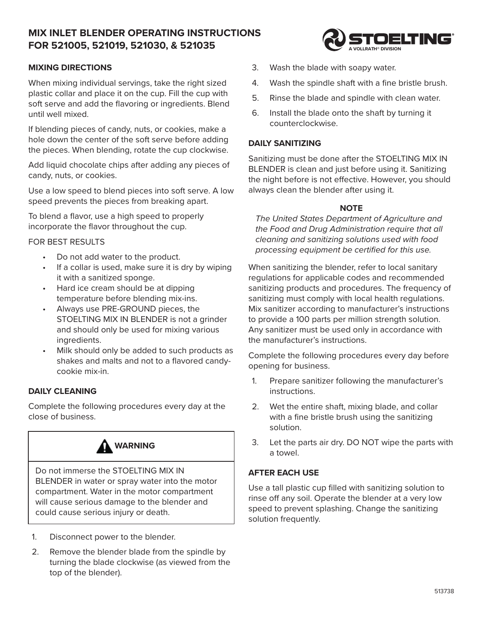## **MIX INLET BLENDER OPERATING INSTRUCTIONS FOR 521005, 521019, 521030, & 521035**

## **MIXING DIRECTIONS**

When mixing individual servings, take the right sized plastic collar and place it on the cup. Fill the cup with soft serve and add the flavoring or ingredients. Blend until well mixed.

If blending pieces of candy, nuts, or cookies, make a hole down the center of the soft serve before adding the pieces. When blending, rotate the cup clockwise.

Add liquid chocolate chips after adding any pieces of candy, nuts, or cookies.

Use a low speed to blend pieces into soft serve. A low speed prevents the pieces from breaking apart.

To blend a flavor, use a high speed to properly incorporate the flavor throughout the cup.

### FOR BEST RESULTS

- Do not add water to the product.
- If a collar is used, make sure it is dry by wiping it with a sanitized sponge.
- Hard ice cream should be at dipping temperature before blending mix-ins.
- Always use PRE-GROUND pieces, the STOELTING MIX IN BLENDER is not a grinder and should only be used for mixing various ingredients.
- Milk should only be added to such products as shakes and malts and not to a flavored candycookie mix-in.

## **DAILY CLEANING**

Complete the following procedures every day at the close of business.



Do not immerse the STOELTING MIX IN BLENDER in water or spray water into the motor compartment. Water in the motor compartment will cause serious damage to the blender and could cause serious injury or death.

- 1. Disconnect power to the blender.
- 2. Remove the blender blade from the spindle by turning the blade clockwise (as viewed from the top of the blender).
- 3. Wash the blade with soapy water.
- 4. Wash the spindle shaft with a fine bristle brush.
- 5. Rinse the blade and spindle with clean water.
- 6. Install the blade onto the shaft by turning it counterclockwise.

#### **DAILY SANITIZING**

Sanitizing must be done after the STOELTING MIX IN BLENDER is clean and just before using it. Sanitizing the night before is not effective. However, you should always clean the blender after using it.

### **NOTE**

The United States Department of Agriculture and the Food and Drug Administration require that all cleaning and sanitizing solutions used with food processing equipment be certified for this use.

When sanitizing the blender, refer to local sanitary regulations for applicable codes and recommended sanitizing products and procedures. The frequency of sanitizing must comply with local health regulations. Mix sanitizer according to manufacturer's instructions to provide a 100 parts per million strength solution. Any sanitizer must be used only in accordance with the manufacturer's instructions.

Complete the following procedures every day before opening for business.

- 1. Prepare sanitizer following the manufacturer's instructions.
- 2. Wet the entire shaft, mixing blade, and collar with a fine bristle brush using the sanitizing solution.
- 3. Let the parts air dry. DO NOT wipe the parts with a towel.

## **AFTER EACH USE**

Use a tall plastic cup filled with sanitizing solution to rinse off any soil. Operate the blender at a very low speed to prevent splashing. Change the sanitizing solution frequently.

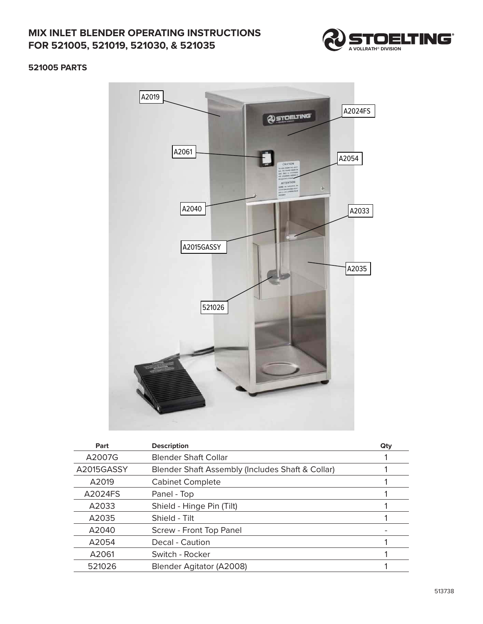



| Part       | <b>Description</b>                               | Qty |
|------------|--------------------------------------------------|-----|
| A2007G     | <b>Blender Shaft Collar</b>                      |     |
| A2015GASSY | Blender Shaft Assembly (Includes Shaft & Collar) |     |
| A2019      | <b>Cabinet Complete</b>                          |     |
| A2024FS    | Panel - Top                                      |     |
| A2033      | Shield - Hinge Pin (Tilt)                        |     |
| A2035      | Shield - Tilt                                    |     |
| A2040      | Screw - Front Top Panel                          |     |
| A2054      | Decal - Caution                                  |     |
| A2061      | Switch - Rocker                                  |     |
| 521026     | Blender Agitator (A2008)                         |     |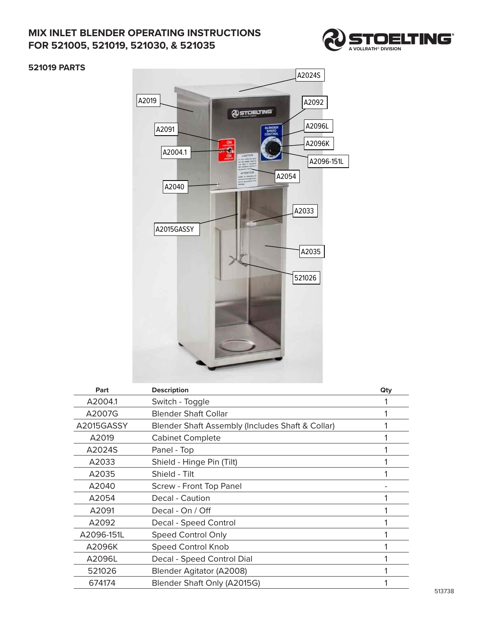



| Part       | <b>Description</b>                               | Qty |
|------------|--------------------------------------------------|-----|
| A2004.1    | Switch - Toggle                                  |     |
| A2007G     | <b>Blender Shaft Collar</b>                      |     |
| A2015GASSY | Blender Shaft Assembly (Includes Shaft & Collar) |     |
| A2019      | <b>Cabinet Complete</b>                          |     |
| A2024S     | Panel - Top                                      |     |
| A2033      | Shield - Hinge Pin (Tilt)                        |     |
| A2035      | Shield - Tilt                                    |     |
| A2040      | Screw - Front Top Panel                          |     |
| A2054      | Decal - Caution                                  |     |
| A2091      | Decal - On / Off                                 |     |
| A2092      | Decal - Speed Control                            |     |
| A2096-151L | <b>Speed Control Only</b>                        |     |
| A2096K     | <b>Speed Control Knob</b>                        |     |
| A2096L     | Decal - Speed Control Dial                       |     |
| 521026     | Blender Agitator (A2008)                         |     |
| 674174     | Blender Shaft Only (A2015G)                      |     |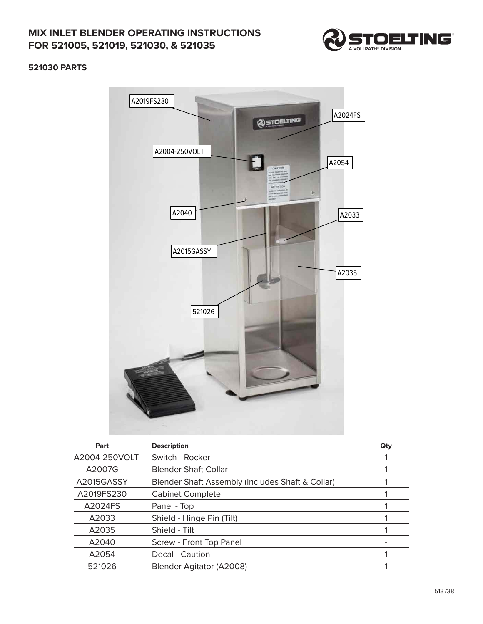



| Part          | <b>Description</b>                               | Qty |
|---------------|--------------------------------------------------|-----|
| A2004-250VOLT | Switch - Rocker                                  |     |
| A2007G        | <b>Blender Shaft Collar</b>                      |     |
| A2015GASSY    | Blender Shaft Assembly (Includes Shaft & Collar) |     |
| A2019FS230    | <b>Cabinet Complete</b>                          |     |
| A2024FS       | Panel - Top                                      |     |
| A2033         | Shield - Hinge Pin (Tilt)                        |     |
| A2035         | Shield - Tilt                                    |     |
| A2040         | Screw - Front Top Panel                          |     |
| A2054         | Decal - Caution                                  |     |
| 521026        | Blender Agitator (A2008)                         |     |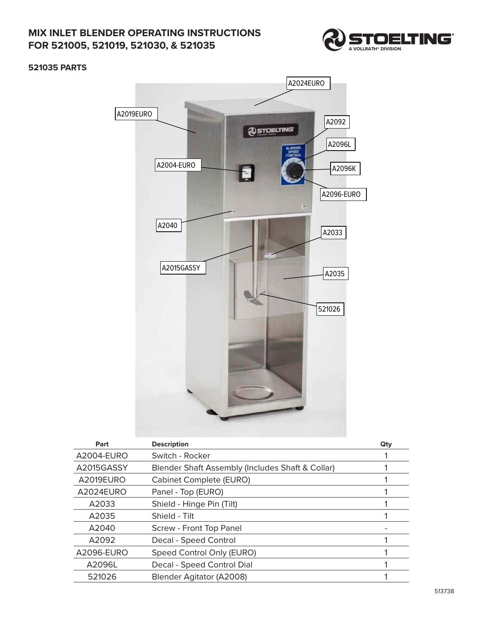



| Part       | <b>Description</b>                               | Qty |
|------------|--------------------------------------------------|-----|
| A2004-EURO | Switch - Rocker                                  |     |
| A2015GASSY | Blender Shaft Assembly (Includes Shaft & Collar) |     |
| A2019EURO  | <b>Cabinet Complete (EURO)</b>                   |     |
| A2024EURO  | Panel - Top (EURO)                               |     |
| A2033      | Shield - Hinge Pin (Tilt)                        |     |
| A2035      | Shield - Tilt                                    |     |
| A2040      | <b>Screw - Front Top Panel</b>                   |     |
| A2092      | Decal - Speed Control                            |     |
| A2096-EURO | Speed Control Only (EURO)                        |     |
| A2096L     | Decal - Speed Control Dial                       |     |
| 521026     | Blender Agitator (A2008)                         |     |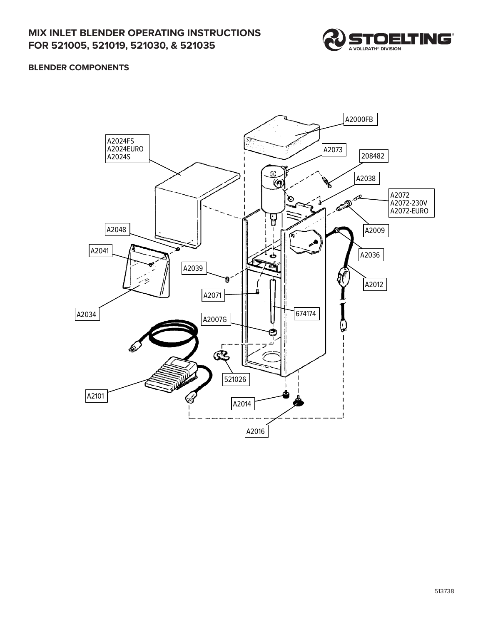

## **BLENDER COMPONENTS**

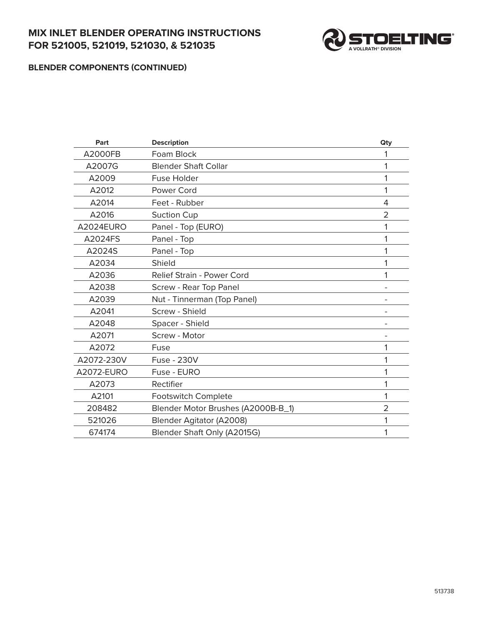

## **BLENDER COMPONENTS (CONTINUED)**

| Part              | <b>Description</b>                 | Qty            |
|-------------------|------------------------------------|----------------|
| A2000FB           | Foam Block                         |                |
| A2007G            | <b>Blender Shaft Collar</b>        |                |
| A2009             | <b>Fuse Holder</b>                 | 1              |
| A2012             | Power Cord                         |                |
| A2014             | Feet - Rubber                      | 4              |
| A2016             | <b>Suction Cup</b>                 | 2              |
| A2024EURO         | Panel - Top (EURO)                 | 1              |
| A2024FS           | Panel - Top                        | 1              |
| A2024S            | Panel - Top                        | 1              |
| A2034             | Shield                             | 1              |
| A2036             | <b>Relief Strain - Power Cord</b>  | 1              |
| A2038             | Screw - Rear Top Panel             |                |
| A2039             | Nut - Tinnerman (Top Panel)        |                |
| A2041             | Screw - Shield                     |                |
| A2048             | Spacer - Shield                    |                |
| A2071             | Screw - Motor                      |                |
| A2072             | Fuse                               | 1              |
| A2072-230V        | <b>Fuse - 230V</b>                 | 1              |
| <b>A2072-EURO</b> | Fuse - EURO                        | 1              |
| A2073             | Rectifier                          | 1              |
| A2101             | Footswitch Complete                | 1              |
| 208482            | Blender Motor Brushes (A2000B-B_1) | $\overline{2}$ |
| 521026            | Blender Agitator (A2008)           | 1              |
| 674174            | Blender Shaft Only (A2015G)        | 1              |